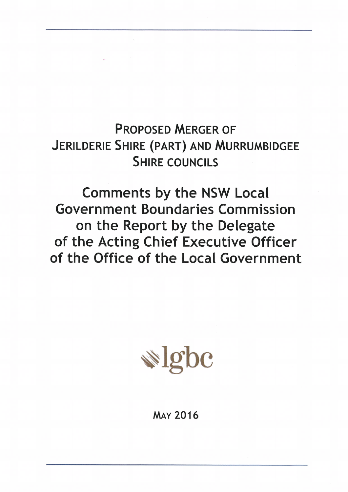**PROPOSED MERGER OF** JERILDERIE SHIRE (PART) AND MURRUMBIDGEE **SHIRE COUNCILS** 

**Comments by the NSW Local Government Boundaries Commission** on the Report by the Delegate of the Acting Chief Executive Officer of the Office of the Local Government



# **MAY 2016**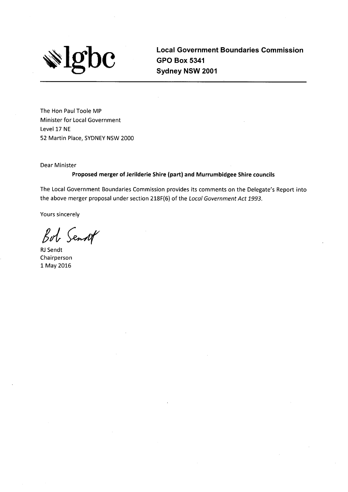

**Local Government Boundaries Commission GPO Box 5341** Sydney NSW 2001

The Hon Paul Toole MP **Minister for Local Government** Level 17 NE 52 Martin Place, SYDNEY NSW 2000

Dear Minister

Proposed merger of Jerilderie Shire (part) and Murrumbidgee Shire councils

The Local Government Boundaries Commission provides its comments on the Delegate's Report into the above merger proposal under section 218F(6) of the Local Government Act 1993.

Yours sincerely

Bob Senset

**RJ Sendt** Chairperson 1 May 2016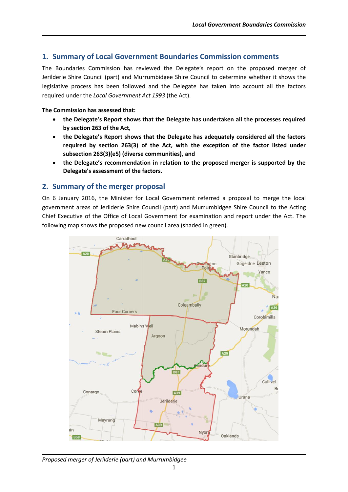# **1. Summary of Local Government Boundaries Commission comments**

The Boundaries Commission has reviewed the Delegate's report on the proposed merger of Jerilderie Shire Council (part) and Murrumbidgee Shire Council to determine whether it shows the legislative process has been followed and the Delegate has taken into account all the factors required under the *Local Government Act 1993* (the Act).

#### **The Commission has assessed that:**

- **the Delegate's Report shows that the Delegate has undertaken all the processes required by section 263 of the Act***,*
- **the Delegate's Report shows that the Delegate has adequately considered all the factors required by section 263(3) of the Act, with the exception of the factor listed under subsection 263(3)(e5) (diverse communities), and**
- **the Delegate's recommendation in relation to the proposed merger is supported by the Delegate's assessment of the factors.**

# **2. Summary of the merger proposal**

On 6 January 2016, the Minister for Local Government referred a proposal to merge the local government areas of Jerilderie Shire Council (part) and Murrumbidgee Shire Council to the Acting Chief Executive of the Office of Local Government for examination and report under the Act. The following map shows the proposed new council area (shaded in green).



*Proposed merger of Jerilderie (part) and Murrumbidgee*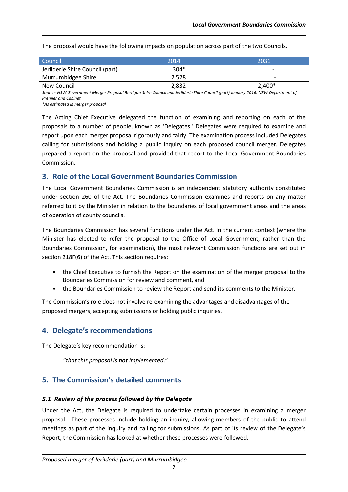| Council <sup>1</sup>            | 2014   | 2031                     |
|---------------------------------|--------|--------------------------|
| Jerilderie Shire Council (part) | $304*$ |                          |
| Murrumbidgee Shire              | 2.528  | $\overline{\phantom{0}}$ |
| New Council                     | 2,832  | $2,400*$                 |

The proposal would have the following impacts on population across part of the two Councils.

*Source: NSW Government Merger Proposal Berrigan Shire Council and Jerilderie Shire Council (part) January 2016; NSW Department of Premier and Cabinet*

*\*As estimated in merger proposal*

The Acting Chief Executive delegated the function of examining and reporting on each of the proposals to a number of people, known as 'Delegates.' Delegates were required to examine and report upon each merger proposal rigorously and fairly. The examination process included Delegates calling for submissions and holding a public inquiry on each proposed council merger. Delegates prepared a report on the proposal and provided that report to the Local Government Boundaries Commission.

# **3. Role of the Local Government Boundaries Commission**

The Local Government Boundaries Commission is an independent statutory authority constituted under section 260 of the Act. The Boundaries Commission examines and reports on any matter referred to it by the Minister in relation to the boundaries of local government areas and the areas of operation of county councils.

The Boundaries Commission has several functions under the Act. In the current context (where the Minister has elected to refer the proposal to the Office of Local Government, rather than the Boundaries Commission, for examination), the most relevant Commission functions are set out in section 218F(6) of the Act. This section requires:

- the Chief Executive to furnish the Report on the examination of the merger proposal to the Boundaries Commission for review and comment, and
- the Boundaries Commission to review the Report and send its comments to the Minister.

The Commission's role does not involve re-examining the advantages and disadvantages of the proposed mergers, accepting submissions or holding public inquiries.

# **4. Delegate's recommendations**

The Delegate's key recommendation is:

"*that this proposal is not implemented*."

# **5. The Commission's detailed comments**

# *5.1 Review of the process followed by the Delegate*

Under the Act, the Delegate is required to undertake certain processes in examining a merger proposal. These processes include holding an inquiry, allowing members of the public to attend meetings as part of the inquiry and calling for submissions. As part of its review of the Delegate's Report, the Commission has looked at whether these processes were followed.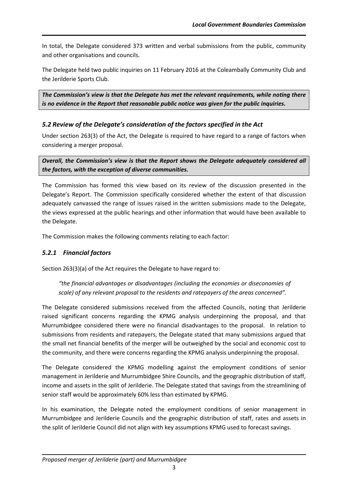In total, the Delegate considered 373 written and verbal submissions from the public, community and other organisations and councils.

The Delegate held two public inquiries on 11 February 2016 at the Coleambally Community Club and the Jerilderie Sports Club.

*The Commission's view is that the Delegate has met the relevant requirements, while noting there is no evidence in the Report that reasonable public notice was given for the public inquiries.*

# *5.2 Review of the Delegate's consideration of the factors specified in the Act*

Under section 263(3) of the Act, the Delegate is required to have regard to a range of factors when considering a merger proposal.

*Overall, the Commission's view is that the Report shows the Delegate adequately considered all the factors, with the exception of diverse communities.* 

The Commission has formed this view based on its review of the discussion presented in the Delegate's Report. The Commission specifically considered whether the extent of that discussion adequately canvassed the range of issues raised in the written submissions made to the Delegate, the views expressed at the public hearings and other information that would have been available to the Delegate.

The Commission makes the following comments relating to each factor:

# *5.2.1 Financial factors*

Section 263(3)(a) of the Act requires the Delegate to have regard to:

*"the financial advantages or disadvantages (including the economies or diseconomies of scale) of any relevant proposal to the residents and ratepayers of the areas concerned".*

The Delegate considered submissions received from the affected Councils, noting that Jerilderie raised significant concerns regarding the KPMG analysis underpinning the proposal, and that Murrumbidgee considered there were no financial disadvantages to the proposal. In relation to submissions from residents and ratepayers, the Delegate stated that many submissions argued that the small net financial benefits of the merger will be outweighed by the social and economic cost to the community, and there were concerns regarding the KPMG analysis underpinning the proposal.

The Delegate considered the KPMG modelling against the employment conditions of senior management in Jerilderie and Murrumbidgee Shire Councils, and the geographic distribution of staff, income and assets in the split of Jerilderie. The Delegate stated that savings from the streamlining of senior staff would be approximately 60% less than estimated by KPMG.

In his examination, the Delegate noted the employment conditions of senior management in Murrumbidgee and Jerilderie Councils and the geographic distribution of staff, rates and assets in the split of Jerilderie Council did not align with key assumptions KPMG used to forecast savings.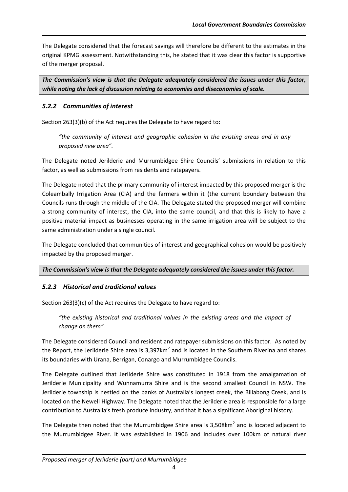The Delegate considered that the forecast savings will therefore be different to the estimates in the original KPMG assessment. Notwithstanding this, he stated that it was clear this factor is supportive of the merger proposal.

*The Commission's view is that the Delegate adequately considered the issues under this factor, while noting the lack of discussion relating to economies and diseconomies of scale.*

# *5.2.2 Communities of interest*

Section 263(3)(b) of the Act requires the Delegate to have regard to:

*"the community of interest and geographic cohesion in the existing areas and in any proposed new area".*

The Delegate noted Jerilderie and Murrumbidgee Shire Councils' submissions in relation to this factor, as well as submissions from residents and ratepayers.

The Delegate noted that the primary community of interest impacted by this proposed merger is the Coleambally Irrigation Area (CIA) and the farmers within it (the current boundary between the Councils runs through the middle of the CIA. The Delegate stated the proposed merger will combine a strong community of interest, the CIA, into the same council, and that this is likely to have a positive material impact as businesses operating in the same irrigation area will be subject to the same administration under a single council.

The Delegate concluded that communities of interest and geographical cohesion would be positively impacted by the proposed merger.

#### *The Commission's view is that the Delegate adequately considered the issues under this factor.*

# *5.2.3 Historical and traditional values*

Section 263(3)(c) of the Act requires the Delegate to have regard to:

*"the existing historical and traditional values in the existing areas and the impact of change on them".*

The Delegate considered Council and resident and ratepayer submissions on this factor. As noted by the Report, the Jerilderie Shire area is 3,397 $km^2$  and is located in the Southern Riverina and shares its boundaries with Urana, Berrigan, Conargo and Murrumbidgee Councils.

The Delegate outlined that Jerilderie Shire was constituted in 1918 from the amalgamation of Jerilderie Municipality and Wunnamurra Shire and is the second smallest Council in NSW. The Jerilderie township is nestled on the banks of Australia's longest creek, the Billabong Creek, and is located on the Newell Highway. The Delegate noted that the Jerilderie area is responsible for a large contribution to Australia's fresh produce industry, and that it has a significant Aboriginal history.

The Delegate then noted that the Murrumbidgee Shire area is 3,508 $km^2$  and is located adjacent to the Murrumbidgee River. It was established in 1906 and includes over 100km of natural river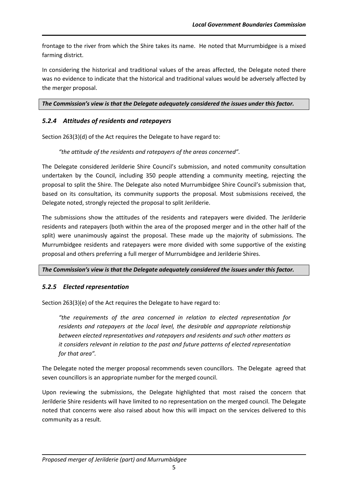frontage to the river from which the Shire takes its name. He noted that Murrumbidgee is a mixed farming district.

In considering the historical and traditional values of the areas affected, the Delegate noted there was no evidence to indicate that the historical and traditional values would be adversely affected by the merger proposal.

*The Commission's view is that the Delegate adequately considered the issues under this factor.*

# *5.2.4 Attitudes of residents and ratepayers*

Section 263(3)(d) of the Act requires the Delegate to have regard to:

#### *"the attitude of the residents and ratepayers of the areas concerned".*

The Delegate considered Jerilderie Shire Council's submission, and noted community consultation undertaken by the Council, including 350 people attending a community meeting, rejecting the proposal to split the Shire. The Delegate also noted Murrumbidgee Shire Council's submission that, based on its consultation, its community supports the proposal. Most submissions received, the Delegate noted, strongly rejected the proposal to split Jerilderie.

The submissions show the attitudes of the residents and ratepayers were divided. The Jerilderie residents and ratepayers (both within the area of the proposed merger and in the other half of the split) were unanimously against the proposal. These made up the majority of submissions. The Murrumbidgee residents and ratepayers were more divided with some supportive of the existing proposal and others preferring a full merger of Murrumbidgee and Jerilderie Shires.

#### *The Commission's view is that the Delegate adequately considered the issues under this factor.*

# *5.2.5 Elected representation*

Section 263(3)(e) of the Act requires the Delegate to have regard to:

*"the requirements of the area concerned in relation to elected representation for residents and ratepayers at the local level, the desirable and appropriate relationship between elected representatives and ratepayers and residents and such other matters as it considers relevant in relation to the past and future patterns of elected representation for that area".*

The Delegate noted the merger proposal recommends seven councillors. The Delegate agreed that seven councillors is an appropriate number for the merged council.

Upon reviewing the submissions, the Delegate highlighted that most raised the concern that Jerilderie Shire residents will have limited to no representation on the merged council. The Delegate noted that concerns were also raised about how this will impact on the services delivered to this community as a result.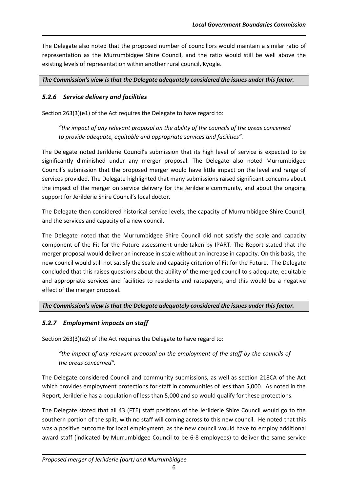The Delegate also noted that the proposed number of councillors would maintain a similar ratio of representation as the Murrumbidgee Shire Council, and the ratio would still be well above the existing levels of representation within another rural council, Kyogle.

#### *The Commission's view is that the Delegate adequately considered the issues under this factor.*

# *5.2.6 Service delivery and facilities*

Section 263(3)(e1) of the Act requires the Delegate to have regard to:

*"the impact of any relevant proposal on the ability of the councils of the areas concerned to provide adequate, equitable and appropriate services and facilities".*

The Delegate noted Jerilderie Council's submission that its high level of service is expected to be significantly diminished under any merger proposal. The Delegate also noted Murrumbidgee Council's submission that the proposed merger would have little impact on the level and range of services provided. The Delegate highlighted that many submissions raised significant concerns about the impact of the merger on service delivery for the Jerilderie community, and about the ongoing support for Jerilderie Shire Council's local doctor.

The Delegate then considered historical service levels, the capacity of Murrumbidgee Shire Council, and the services and capacity of a new council.

The Delegate noted that the Murrumbidgee Shire Council did not satisfy the scale and capacity component of the Fit for the Future assessment undertaken by IPART. The Report stated that the merger proposal would deliver an increase in scale without an increase in capacity. On this basis, the new council would still not satisfy the scale and capacity criterion of Fit for the Future. The Delegate concluded that this raises questions about the ability of the merged council to s adequate, equitable and appropriate services and facilities to residents and ratepayers, and this would be a negative effect of the merger proposal.

# *The Commission's view is that the Delegate adequately considered the issues under this factor.*

# *5.2.7 Employment impacts on staff*

Section 263(3)(e2) of the Act requires the Delegate to have regard to:

*"the impact of any relevant proposal on the employment of the staff by the councils of the areas concerned".*

The Delegate considered Council and community submissions, as well as section 218CA of the Act which provides employment protections for staff in communities of less than 5,000. As noted in the Report, Jerilderie has a population of less than 5,000 and so would qualify for these protections.

The Delegate stated that all 43 (FTE) staff positions of the Jerilderie Shire Council would go to the southern portion of the split, with no staff will coming across to this new council. He noted that this was a positive outcome for local employment, as the new council would have to employ additional award staff (indicated by Murrumbidgee Council to be 6-8 employees) to deliver the same service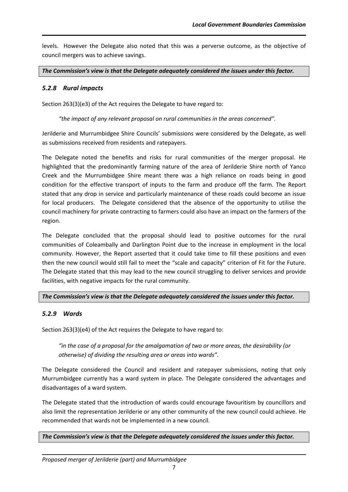levels. However the Delegate also noted that this was a perverse outcome, as the objective of council mergers was to achieve savings.

*The Commission's view is that the Delegate adequately considered the issues under this factor.*

## *5.2.8 Rural impacts*

Section 263(3)(e3) of the Act requires the Delegate to have regard to:

*"the impact of any relevant proposal on rural communities in the areas concerned".*

Jerilderie and Murrumbidgee Shire Councils' submissions were considered by the Delegate, as well as submissions received from residents and ratepayers.

The Delegate noted the benefits and risks for rural communities of the merger proposal. He highlighted that the predominantly farming nature of the area of Jerilderie Shire north of Yanco Creek and the Murrumbidgee Shire meant there was a high reliance on roads being in good condition for the effective transport of inputs to the farm and produce off the farm. The Report stated that any drop in service and particularly maintenance of these roads could become an issue for local producers. The Delegate considered that the absence of the opportunity to utilise the council machinery for private contracting to farmers could also have an impact on the farmers of the region.

The Delegate concluded that the proposal should lead to positive outcomes for the rural communities of Coleambally and Darlington Point due to the increase in employment in the local community. However, the Report asserted that it could take time to fill these positions and even then the new council would still fail to meet the "scale and capacity" criterion of Fit for the Future. The Delegate stated that this may lead to the new council struggling to deliver services and provide facilities, with negative impacts for the rural community.

#### *The Commission's view is that the Delegate adequately considered the issues under this factor.*

# *5.2.9 Wards*

Section 263(3)(e4) of the Act requires the Delegate to have regard to:

*"in the case of a proposal for the amalgamation of two or more areas, the desirability (or otherwise) of dividing the resulting area or areas into wards".*

The Delegate considered the Council and resident and ratepayer submissions, noting that only Murrumbidgee currently has a ward system in place. The Delegate considered the advantages and disadvantages of a ward system.

The Delegate stated that the introduction of wards could encourage favouritism by councillors and also limit the representation Jerilderie or any other community of the new council could achieve. He recommended that wards not be implemented in a new council.

#### *The Commission's view is that the Delegate adequately considered the issues under this factor.*